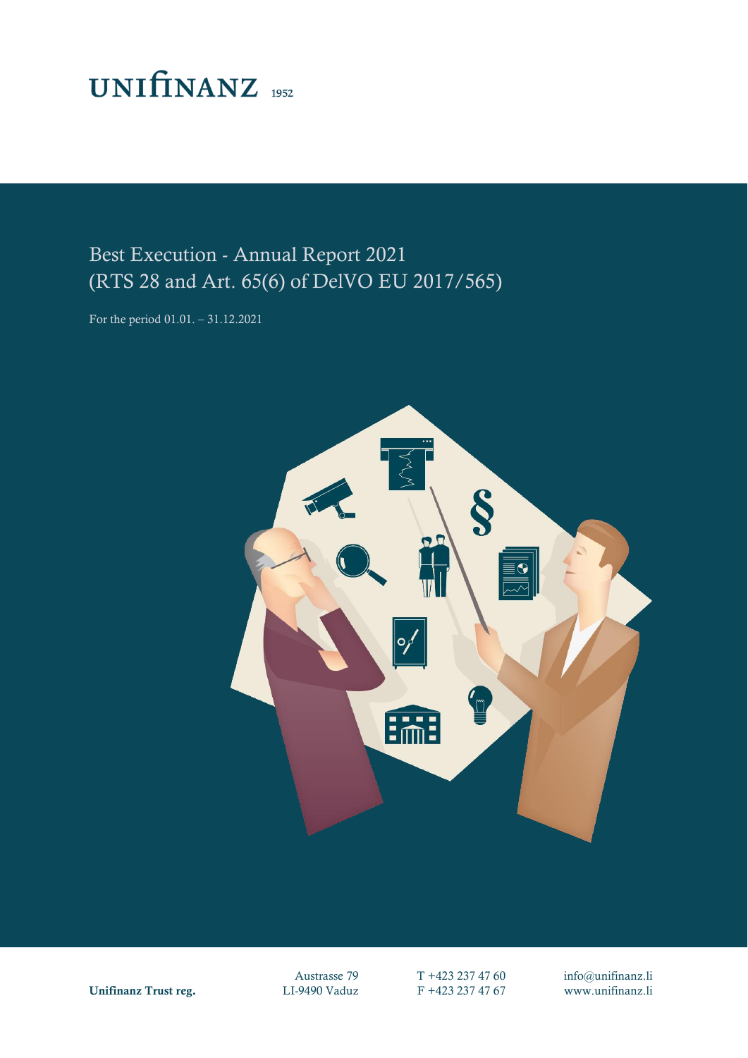## **UNIFINANZ** 1952

## Best Execution - Annual Report 2021 (RTS 28 and Art. 65(6) of DelVO EU 2017/565)

For the period 01.01. – 31.12.2021



Unifinanz Trust reg. LI-9490 Vaduz F +423 237 47 67 www.unifinanz.li

Austrasse 79 T +423 237 47 60 info@unifinanz.li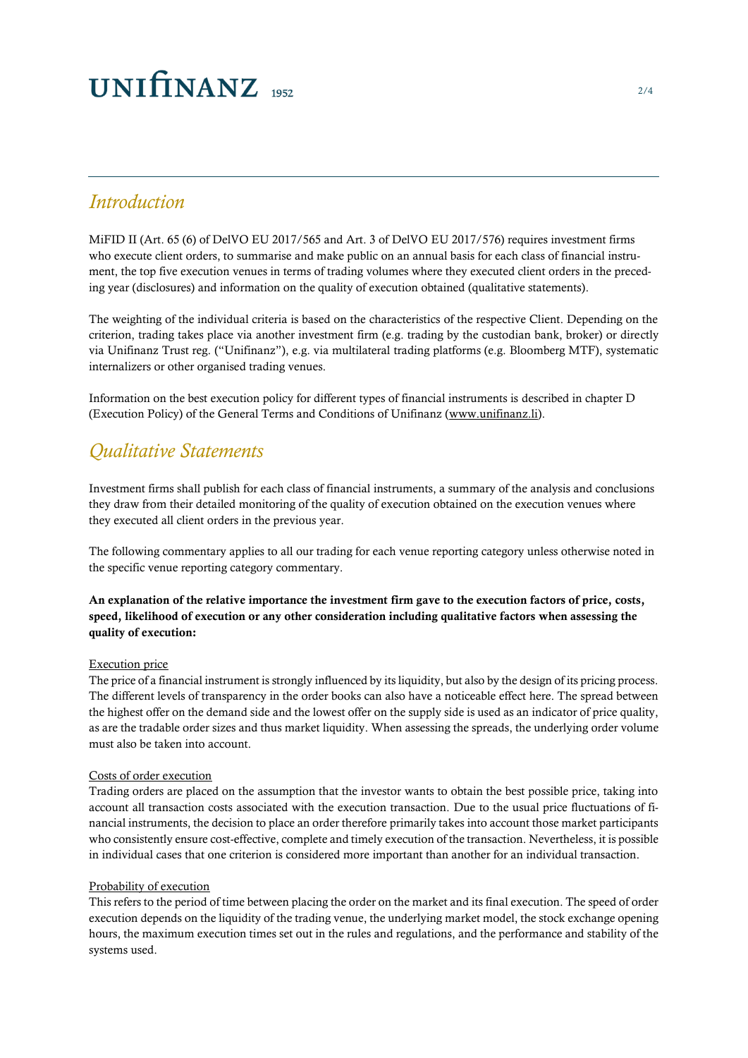## $UNIfINANZ_{1952}$

### *Introduction*

MiFID II (Art. 65 (6) of DelVO EU 2017/565 and Art. 3 of DelVO EU 2017/576) requires investment firms who execute client orders, to summarise and make public on an annual basis for each class of financial instrument, the top five execution venues in terms of trading volumes where they executed client orders in the preceding year (disclosures) and information on the quality of execution obtained (qualitative statements).

The weighting of the individual criteria is based on the characteristics of the respective Client. Depending on the criterion, trading takes place via another investment firm (e.g. trading by the custodian bank, broker) or directly via Unifinanz Trust reg. ("Unifinanz"), e.g. via multilateral trading platforms (e.g. Bloomberg MTF), systematic internalizers or other organised trading venues.

Information on the best execution policy for different types of financial instruments is described in chapter D (Execution Policy) of the General Terms and Conditions of Unifinanz [\(www.unifinanz.li\)](http://www.unifinanz.li/).

### *Qualitative Statements*

Investment firms shall publish for each class of financial instruments, a summary of the analysis and conclusions they draw from their detailed monitoring of the quality of execution obtained on the execution venues where they executed all client orders in the previous year.

The following commentary applies to all our trading for each venue reporting category unless otherwise noted in the specific venue reporting category commentary.

#### An explanation of the relative importance the investment firm gave to the execution factors of price, costs, speed, likelihood of execution or any other consideration including qualitative factors when assessing the quality of execution:

#### Execution price

The price of a financial instrument is strongly influenced by its liquidity, but also by the design of its pricing process. The different levels of transparency in the order books can also have a noticeable effect here. The spread between the highest offer on the demand side and the lowest offer on the supply side is used as an indicator of price quality, as are the tradable order sizes and thus market liquidity. When assessing the spreads, the underlying order volume must also be taken into account.

#### Costs of order execution

Trading orders are placed on the assumption that the investor wants to obtain the best possible price, taking into account all transaction costs associated with the execution transaction. Due to the usual price fluctuations of financial instruments, the decision to place an order therefore primarily takes into account those market participants who consistently ensure cost-effective, complete and timely execution of the transaction. Nevertheless, it is possible in individual cases that one criterion is considered more important than another for an individual transaction.

#### Probability of execution

This refers to the period of time between placing the order on the market and its final execution. The speed of order execution depends on the liquidity of the trading venue, the underlying market model, the stock exchange opening hours, the maximum execution times set out in the rules and regulations, and the performance and stability of the systems used.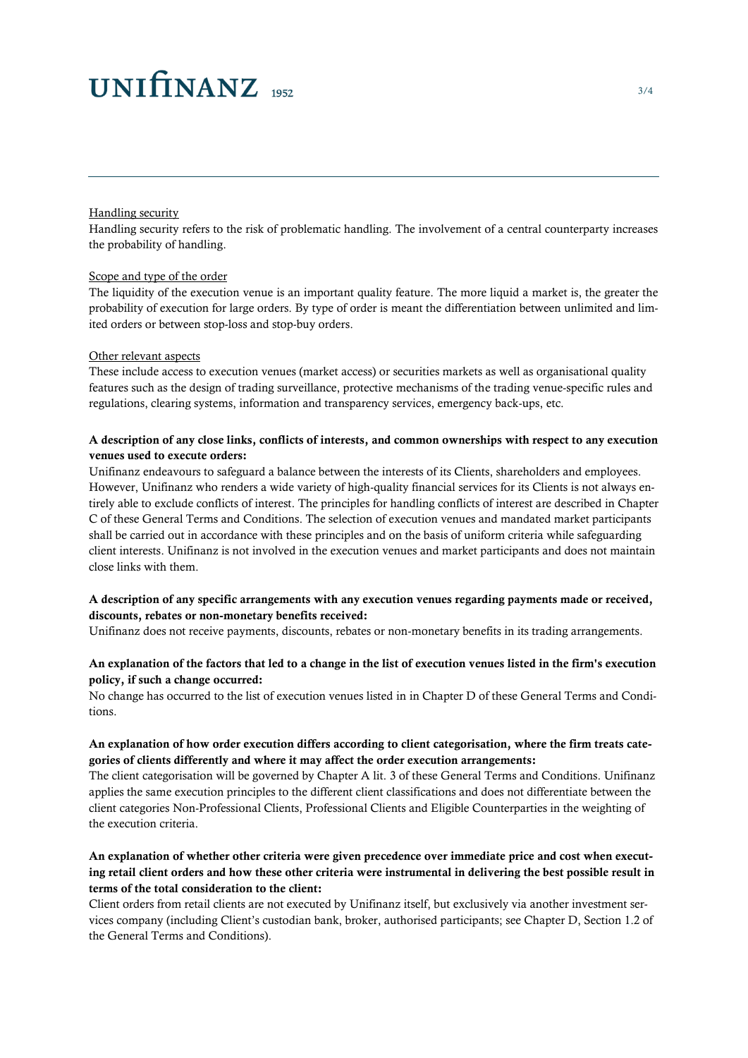## $UNIfINANZ_{1952}$

#### Handling security

Handling security refers to the risk of problematic handling. The involvement of a central counterparty increases the probability of handling.

#### Scope and type of the order

The liquidity of the execution venue is an important quality feature. The more liquid a market is, the greater the probability of execution for large orders. By type of order is meant the differentiation between unlimited and limited orders or between stop-loss and stop-buy orders.

#### Other relevant aspects

These include access to execution venues (market access) or securities markets as well as organisational quality features such as the design of trading surveillance, protective mechanisms of the trading venue-specific rules and regulations, clearing systems, information and transparency services, emergency back-ups, etc.

#### A description of any close links, conflicts of interests, and common ownerships with respect to any execution venues used to execute orders:

Unifinanz endeavours to safeguard a balance between the interests of its Clients, shareholders and employees. However, Unifinanz who renders a wide variety of high-quality financial services for its Clients is not always entirely able to exclude conflicts of interest. The principles for handling conflicts of interest are described in Chapter C of these General Terms and Conditions. The selection of execution venues and mandated market participants shall be carried out in accordance with these principles and on the basis of uniform criteria while safeguarding client interests. Unifinanz is not involved in the execution venues and market participants and does not maintain close links with them.

#### A description of any specific arrangements with any execution venues regarding payments made or received, discounts, rebates or non-monetary benefits received:

Unifinanz does not receive payments, discounts, rebates or non-monetary benefits in its trading arrangements.

#### An explanation of the factors that led to a change in the list of execution venues listed in the firm's execution policy, if such a change occurred:

No change has occurred to the list of execution venues listed in in Chapter D of these General Terms and Conditions.

#### An explanation of how order execution differs according to client categorisation, where the firm treats categories of clients differently and where it may affect the order execution arrangements:

The client categorisation will be governed by Chapter A lit. 3 of these General Terms and Conditions. Unifinanz applies the same execution principles to the different client classifications and does not differentiate between the client categories Non-Professional Clients, Professional Clients and Eligible Counterparties in the weighting of the execution criteria.

#### An explanation of whether other criteria were given precedence over immediate price and cost when executing retail client orders and how these other criteria were instrumental in delivering the best possible result in terms of the total consideration to the client:

Client orders from retail clients are not executed by Unifinanz itself, but exclusively via another investment services company (including Client's custodian bank, broker, authorised participants; see Chapter D, Section 1.2 of the General Terms and Conditions).